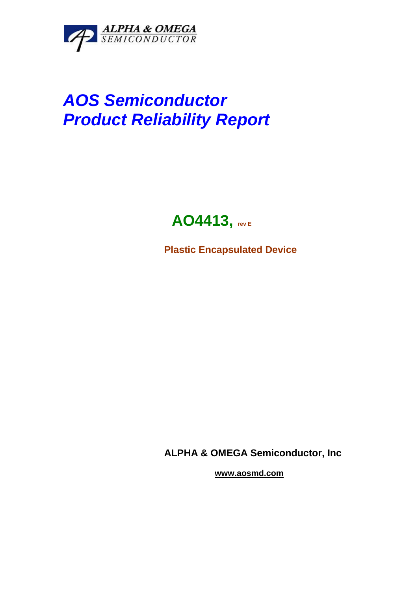

# *AOS Semiconductor Product Reliability Report*

## **AO4413, rev E**

**Plastic Encapsulated Device**

**ALPHA & OMEGA Semiconductor, Inc**

**www.aosmd.com**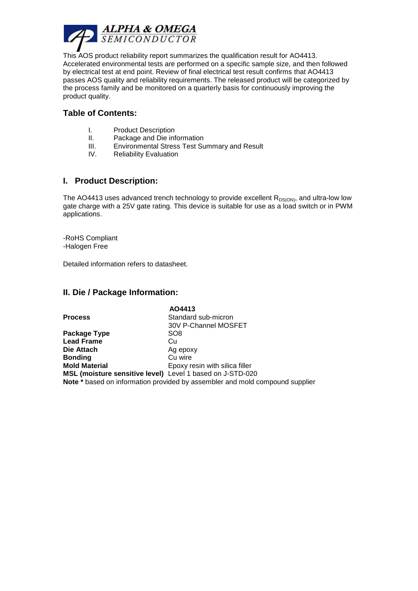

This AOS product reliability report summarizes the qualification result for AO4413. Accelerated environmental tests are performed on a specific sample size, and then followed by electrical test at end point. Review of final electrical test result confirms that AO4413 passes AOS quality and reliability requirements. The released product will be categorized by the process family and be monitored on a quarterly basis for continuously improving the product quality.

#### **Table of Contents:**

- I. Product Description
- II. Package and Die information
- III. Environmental Stress Test Summary and Result
- IV. Reliability Evaluation

#### **I. Product Description:**

The AO4413 uses advanced trench technology to provide excellent  $R_{DS(ON)}$ , and ultra-low low gate charge with a 25V gate rating. This device is suitable for use as a load switch or in PWM applications.

-RoHS Compliant -Halogen Free

Detailed information refers to datasheet.

#### **II. Die / Package Information:**

|                                                           | AO4413                                                                       |
|-----------------------------------------------------------|------------------------------------------------------------------------------|
| <b>Process</b>                                            | Standard sub-micron                                                          |
|                                                           | 30V P-Channel MOSFET                                                         |
| Package Type                                              | SO <sub>8</sub>                                                              |
| <b>Lead Frame</b>                                         | Cu                                                                           |
| Die Attach                                                | Ag epoxy                                                                     |
| Bonding                                                   | Cu wire                                                                      |
| <b>Mold Material</b>                                      | Epoxy resin with silica filler                                               |
| MSL (moisture sensitive level) Level 1 based on J-STD-020 |                                                                              |
|                                                           | Note * based on information provided by assembler and mold compound supplier |